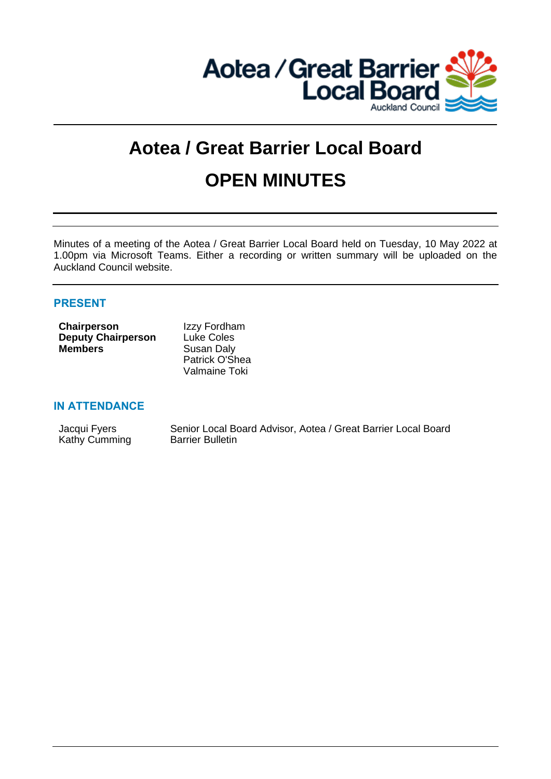

# **Aotea / Great Barrier Local Board OPEN MINUTES**

Minutes of a meeting of the Aotea / Great Barrier Local Board held on Tuesday, 10 May 2022 at 1.00pm via Microsoft Teams. Either a recording or written summary will be uploaded on the Auckland Council website.

# **PRESENT**

| <b>Chairperson</b>        | Izzy Fordham      |
|---------------------------|-------------------|
| <b>Deputy Chairperson</b> | <b>Luke Coles</b> |
| <b>Members</b>            | Susan Daly        |
|                           | Patrick O'Shea    |
|                           | Valmaine Toki     |

## **IN ATTENDANCE**

| Jacqui Fyers  | Senior Local Board Advisor, Aotea / Great Barrier Local Board |
|---------------|---------------------------------------------------------------|
| Kathy Cumming | <b>Barrier Bulletin</b>                                       |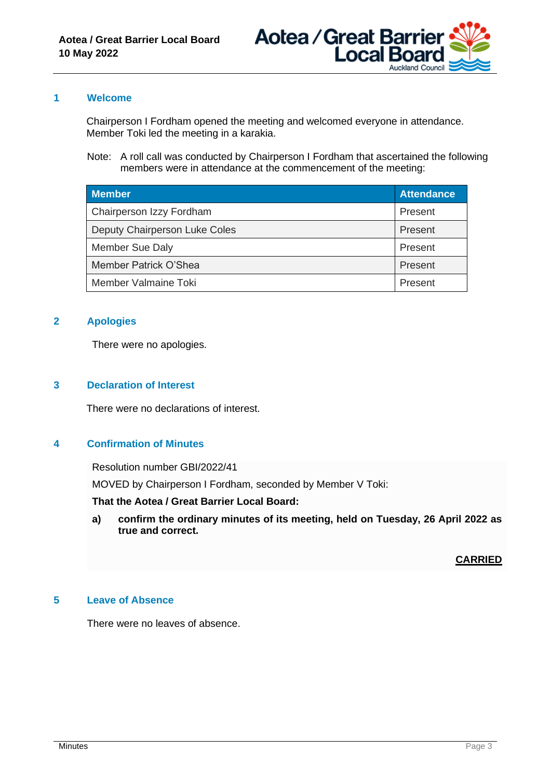

## **1 Welcome**

Chairperson I Fordham opened the meeting and welcomed everyone in attendance. Member Toki led the meeting in a karakia.

Note: A roll call was conducted by Chairperson I Fordham that ascertained the following members were in attendance at the commencement of the meeting:

| <b>Member</b>                 | <b>Attendance</b> |
|-------------------------------|-------------------|
| Chairperson Izzy Fordham      | Present           |
| Deputy Chairperson Luke Coles | Present           |
| Member Sue Daly               | Present           |
| Member Patrick O'Shea         | Present           |
| Member Valmaine Toki          | Present           |

# **2 Apologies**

There were no apologies.

## **3 Declaration of Interest**

There were no declarations of interest.

## **4 Confirmation of Minutes**

Resolution number GBI/2022/41

MOVED by Chairperson I Fordham, seconded by Member V Toki:

**That the Aotea / Great Barrier Local Board:**

**a) confirm the ordinary minutes of its meeting, held on Tuesday, 26 April 2022 as true and correct.**

## **CARRIED**

## **5 Leave of Absence**

There were no leaves of absence.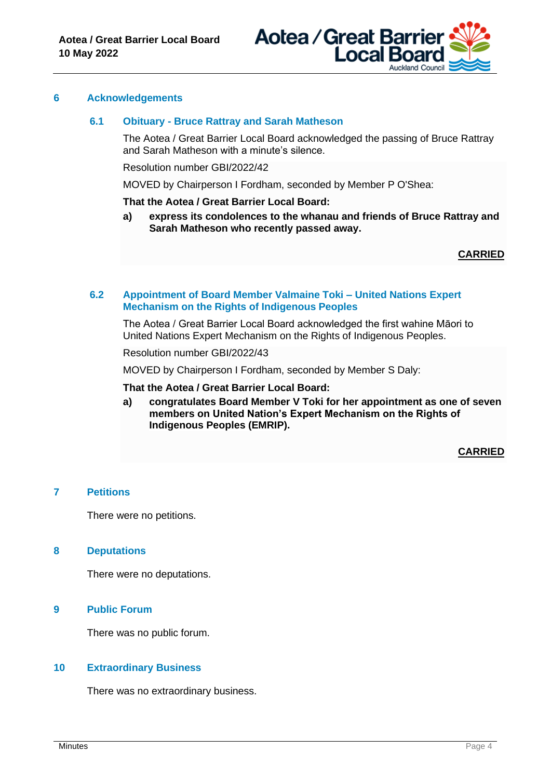

#### **6 Acknowledgements**

#### **6.1 Obituary - Bruce Rattray and Sarah Matheson**

The Aotea / Great Barrier Local Board acknowledged the passing of Bruce Rattray and Sarah Matheson with a minute's silence.

Resolution number GBI/2022/42

MOVED by Chairperson I Fordham, seconded by Member P O'Shea:

**That the Aotea / Great Barrier Local Board:**

**a) express its condolences to the whanau and friends of Bruce Rattray and Sarah Matheson who recently passed away.**

**CARRIED**

#### **6.2 Appointment of Board Member Valmaine Toki – United Nations Expert Mechanism on the Rights of Indigenous Peoples**

The Aotea / Great Barrier Local Board acknowledged the first wahine Māori to United Nations Expert Mechanism on the Rights of Indigenous Peoples.

Resolution number GBI/2022/43

MOVED by Chairperson I Fordham, seconded by Member S Daly:

#### **That the Aotea / Great Barrier Local Board:**

**a) congratulates Board Member V Toki for her appointment as one of seven members on United Nation's Expert Mechanism on the Rights of Indigenous Peoples (EMRIP).**

**CARRIED**

## **7 Petitions**

There were no petitions.

#### **8 Deputations**

There were no deputations.

#### **9 Public Forum**

There was no public forum.

#### **10 Extraordinary Business**

There was no extraordinary business.